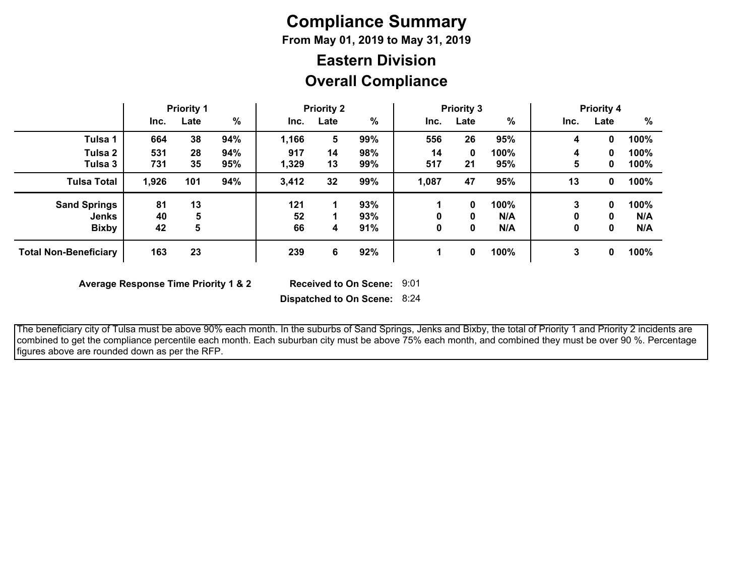# **Compliance Summary**

**From May 01, 2019 to May 31, 2019**

## **Overall Compliance Eastern Division**

|                              | <b>Priority 1</b> |      | <b>Priority 2</b> |       |      | <b>Priority 3</b> |       |      | <b>Priority 4</b> |      |      |      |
|------------------------------|-------------------|------|-------------------|-------|------|-------------------|-------|------|-------------------|------|------|------|
|                              | Inc.              | Late | $\frac{0}{0}$     | Inc.  | Late | %                 | Inc.  | Late | %                 | Inc. | Late | %    |
| Tulsa 1                      | 664               | 38   | 94%               | 1,166 | 5    | 99%               | 556   | 26   | 95%               | 4    | 0    | 100% |
| Tulsa 2                      | 531               | 28   | 94%               | 917   | 14   | 98%               | 14    | 0    | 100%              | 4    | 0    | 100% |
| Tulsa 3                      | 731               | 35   | 95%               | 1,329 | 13   | 99%               | 517   | 21   | 95%               | 5    | 0    | 100% |
| <b>Tulsa Total</b>           | 1,926             | 101  | 94%               | 3,412 | 32   | 99%               | 1,087 | 47   | 95%               | 13   | 0    | 100% |
| <b>Sand Springs</b>          | 81                | 13   |                   | 121   |      | 93%               |       | 0    | 100%              | 3    | 0    | 100% |
| <b>Jenks</b>                 | 40                | 5    |                   | 52    |      | 93%               | 0     | 0    | N/A               | 0    | 0    | N/A  |
| <b>Bixby</b>                 | 42                | 5    |                   | 66    | 4    | 91%               | 0     | 0    | N/A               | 0    | 0    | N/A  |
| <b>Total Non-Beneficiary</b> | 163               | 23   |                   | 239   | 6    | 92%               |       | 0    | 100%              | 3    | 0    | 100% |

**Average Response Time Priority 1 & 2** 

Received to On Scene: 9:01

**Dispatched to On Scene:** 8:24

 The beneficiary city of Tulsa must be above 90% each month. In the suburbs of Sand Springs, Jenks and Bixby, the total of Priority 1 and Priority 2 incidents are combined to get the compliance percentile each month. Each suburban city must be above 75% each month, and combined they must be over 90 %. Percentage figures above are rounded down as per the RFP.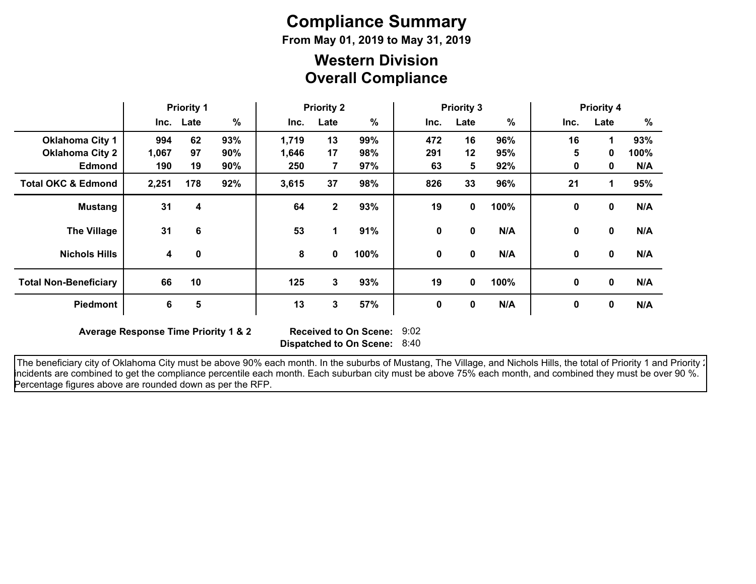# **Compliance Summary**

**From May 01, 2019 to May 31, 2019**

### **Overall Compliance Western Division**

|                               | <b>Priority 1</b> |             | <b>Priority 2</b> |       |              | <b>Priority 3</b> |           |             |      | <b>Priority 4</b><br>%<br>Inc.<br>Late |             |      |
|-------------------------------|-------------------|-------------|-------------------|-------|--------------|-------------------|-----------|-------------|------|----------------------------------------|-------------|------|
|                               |                   | Inc. Late   | %                 | Inc.  | Late         | %                 | Inc.      | Late        | %    |                                        |             |      |
| <b>Oklahoma City 1</b>        | 994               | 62          | 93%               | 1,719 | 13           | 99%               | 472       | 16          | 96%  | 16                                     | 1           | 93%  |
| <b>Oklahoma City 2</b>        | 1,067             | 97          | 90%               | 1,646 | 17           | 98%               | 291       | 12          | 95%  | 5                                      | 0           | 100% |
| <b>Edmond</b>                 | 190               | 19          | 90%               | 250   | 7            | 97%               | 63        | 5           | 92%  | $\mathbf{0}$                           | 0           | N/A  |
| <b>Total OKC &amp; Edmond</b> | 2,251             | 178         | 92%               | 3,615 | 37           | 98%               | 826       | 33          | 96%  | 21                                     | 1           | 95%  |
| <b>Mustang</b>                | 31                | 4           |                   | 64    | $\mathbf{2}$ | 93%               | 19        | 0           | 100% | 0                                      | $\mathbf 0$ | N/A  |
| <b>The Village</b>            | 31                | 6           |                   | 53    | 1            | 91%               | $\pmb{0}$ | 0           | N/A  | $\mathbf 0$                            | $\mathbf 0$ | N/A  |
| <b>Nichols Hills</b>          | 4                 | $\mathbf 0$ |                   | 8     | 0            | 100%              | 0         | $\mathbf 0$ | N/A  | 0                                      | 0           | N/A  |
| <b>Total Non-Beneficiary</b>  | 66                | 10          |                   | 125   | 3            | 93%               | 19        | 0           | 100% | 0                                      | 0           | N/A  |
| <b>Piedmont</b>               | 6                 | 5           |                   | 13    | 3            | 57%               | 0         | 0           | N/A  | 0                                      | 0           | N/A  |

**Average Response Time Priority 1 & 2** 

**Dispatched to On Scene:** 8:40 Received to On Scene: 9:02

The beneficiary city of Oklahoma City must be above 90% each month. In the suburbs of Mustang, The Village, and Nichols Hills, the total of Priority 1 and Priority : incidents are combined to get the compliance percentile each month. Each suburban city must be above 75% each month, and combined they must be over 90 %. Percentage figures above are rounded down as per the RFP.